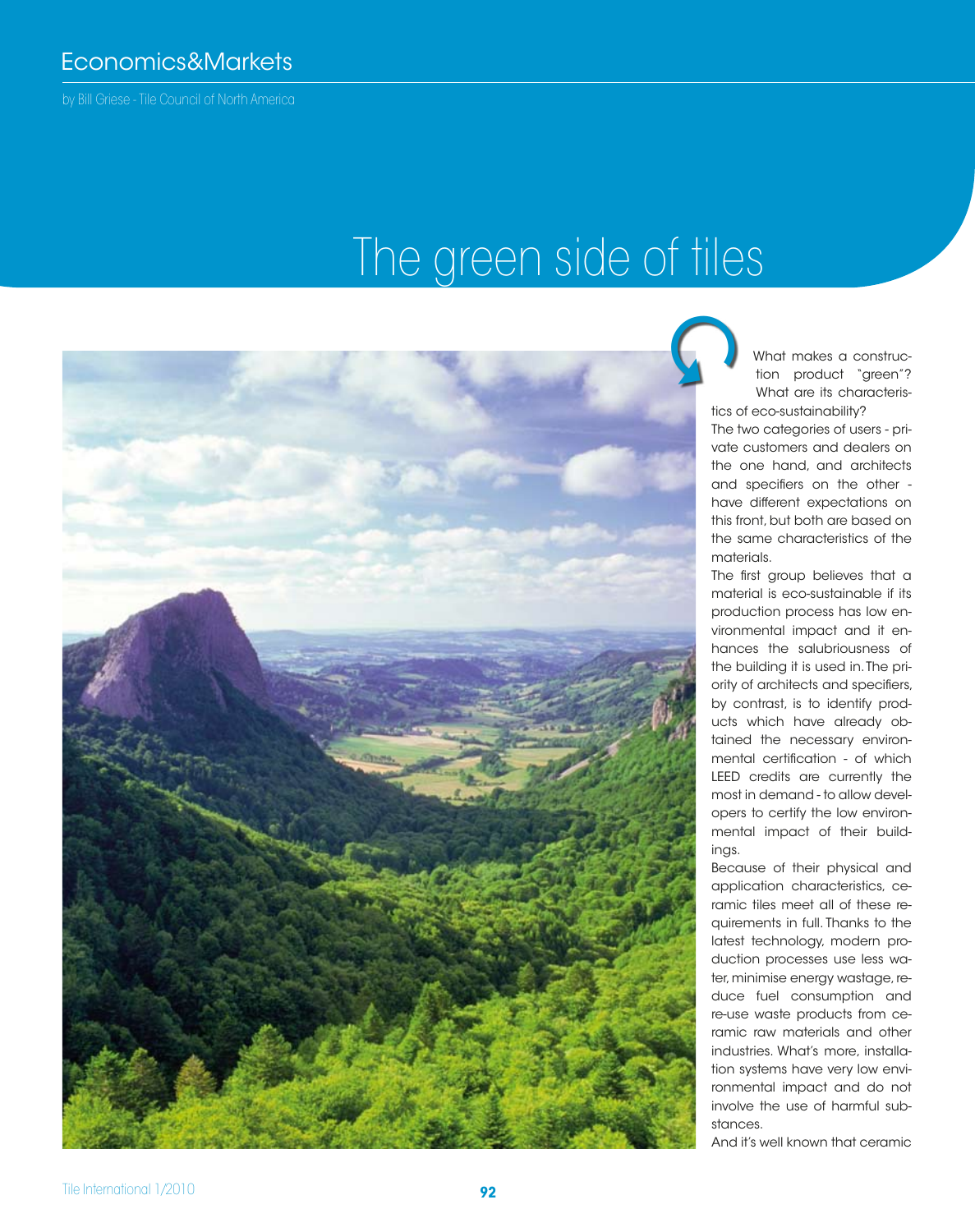by Bill Griese - Tile Council of North America

## The green side of tiles

What makes a construction product "green"? What are its characteristics of eco-sustainability?

The two categories of users - private customers and dealers on the one hand, and architects and specifiers on the other have different expectations on this front, but both are based on the same characteristics of the materials.

The first group believes that a material is eco-sustainable if its production process has low environmental impact and it enhances the salubriousness of the building it is used in. The priority of architects and specifiers, by contrast, is to identify products which have already obtained the necessary environmental certification - of which LEED credits are currently the most in demand - to allow developers to certify the low environmental impact of their buildings.

Because of their physical and application characteristics, ceramic tiles meet all of these requirements in full. Thanks to the latest technology, modern production processes use less water, minimise energy wastage, reduce fuel consumption and re-use waste products from ceramic raw materials and other industries. What's more, installation systems have very low environmental impact and do not involve the use of harmful substances.

And it's well known that ceramic